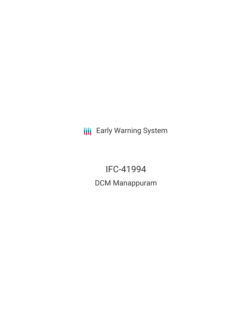**III** Early Warning System

IFC-41994 DCM Manappuram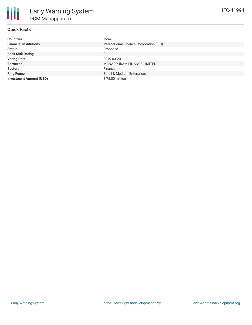# **Quick Facts**

| <b>Countries</b>               | India                                   |
|--------------------------------|-----------------------------------------|
| <b>Financial Institutions</b>  | International Finance Corporation (IFC) |
| <b>Status</b>                  | Proposed                                |
| <b>Bank Risk Rating</b>        | FI.                                     |
| <b>Voting Date</b>             | 2019-03-20                              |
| <b>Borrower</b>                | MANAPPURAM FINANCE LIMITED              |
| <b>Sectors</b>                 | Finance                                 |
| <b>Ring Fence</b>              | Small & Medium Enterprises              |
| <b>Investment Amount (USD)</b> | \$75.00 million                         |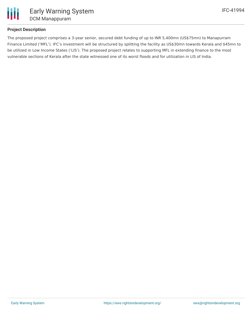

# **Project Description**

The proposed project comprises a 3-year senior, secured debt funding of up to INR 5,400mn (US\$75mn) to Manapurram Finance Limited ('MFL'). IFC's investment will be structured by splitting the facility as US\$30mn towards Kerala and \$45mn to be utilized in Low Income States ('LIS'). The proposed project relates to supporting MFL in extending finance to the most vulnerable sections of Kerala after the state witnessed one of its worst floods and for utilization in LIS of India.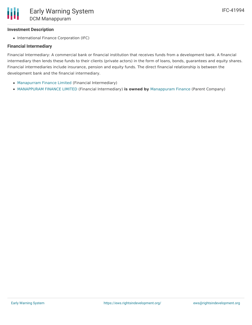## **Investment Description**

• International Finance Corporation (IFC)

#### **Financial Intermediary**

Financial Intermediary: A commercial bank or financial institution that receives funds from a development bank. A financial intermediary then lends these funds to their clients (private actors) in the form of loans, bonds, guarantees and equity shares. Financial intermediaries include insurance, pension and equity funds. The direct financial relationship is between the development bank and the financial intermediary.

- [Manapurram](file:///actor/1845/) Finance Limited (Financial Intermediary)
- [MANAPPURAM](file:///actor/4072/) FINANCE LIMITED (Financial Intermediary) **is owned by** [Manappuram](file:///actor/4074/) Finance (Parent Company)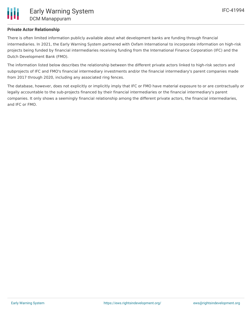## **Private Actor Relationship**

There is often limited information publicly available about what development banks are funding through financial intermediaries. In 2021, the Early Warning System partnered with Oxfam International to incorporate information on high-risk projects being funded by financial intermediaries receiving funding from the International Finance Corporation (IFC) and the Dutch Development Bank (FMO).

The information listed below describes the relationship between the different private actors linked to high-risk sectors and subprojects of IFC and FMO's financial intermediary investments and/or the financial intermediary's parent companies made from 2017 through 2020, including any associated ring fences.

The database, however, does not explicitly or implicitly imply that IFC or FMO have material exposure to or are contractually or legally accountable to the sub-projects financed by their financial intermediaries or the financial intermediary's parent companies. It only shows a seemingly financial relationship among the different private actors, the financial intermediaries, and IFC or FMO.